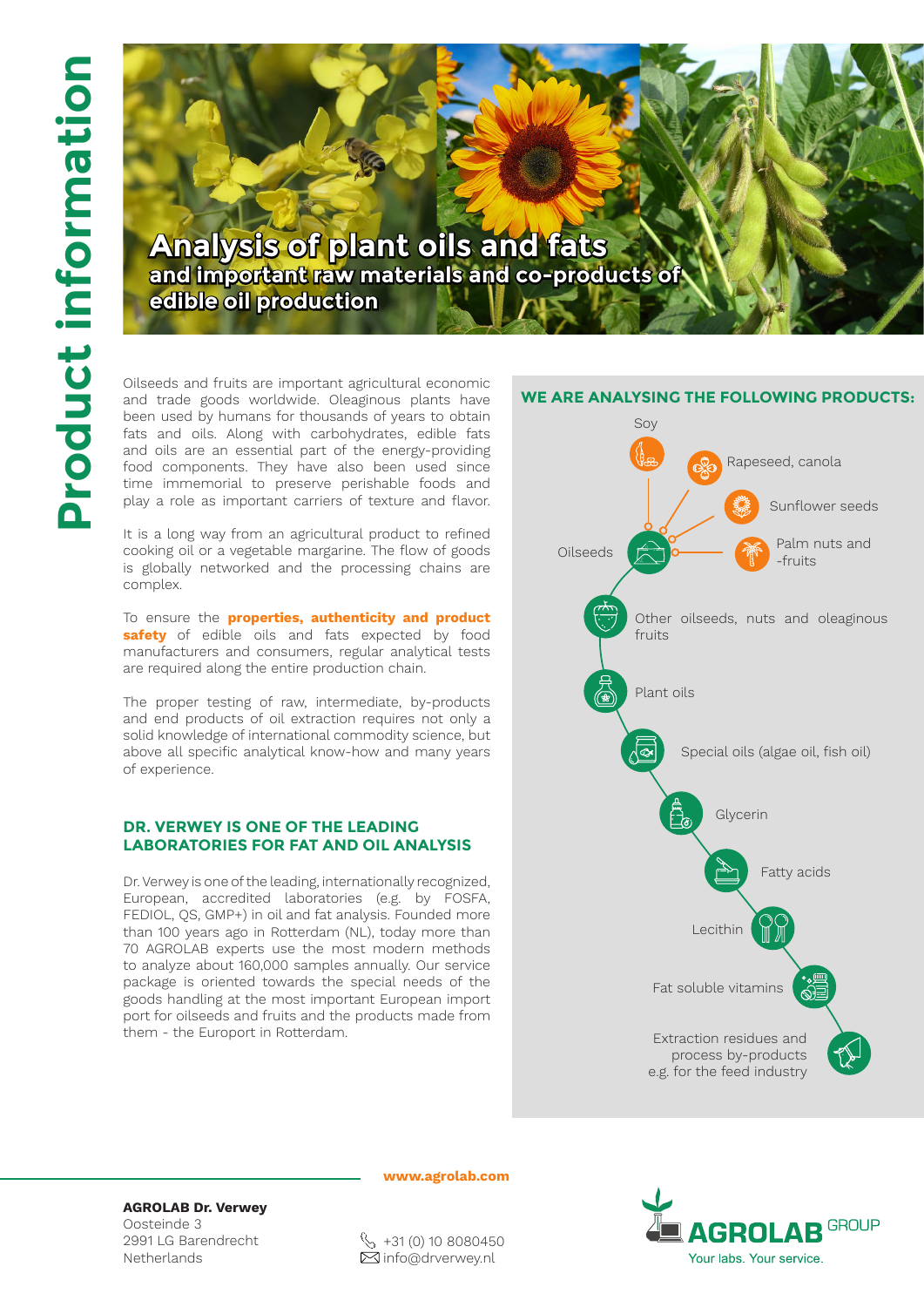

Oilseeds and fruits are important agricultural economic and trade goods worldwide. Oleaginous plants have been used by humans for thousands of years to obtain fats and oils. Along with carbohydrates, edible fats and oils are an essential part of the energy-providing food components. They have also been used since time immemorial to preserve perishable foods and play a role as important carriers of texture and flavor.

It is a long way from an agricultural product to refined cooking oil or a vegetable margarine. The flow of goods is globally networked and the processing chains are complex.

To ensure the **properties, authenticity and product safety** of edible oils and fats expected by food manufacturers and consumers, regular analytical tests are required along the entire production chain.

The proper testing of raw, intermediate, by-products and end products of oil extraction requires not only a solid knowledge of international commodity science, but above all specific analytical know-how and many years of experience.

## **DR. VERWEY IS ONE OF THE LEADING LABORATORIES FOR FAT AND OIL ANALYSIS**

Dr. Verwey is one of the leading, internationally recognized, European, accredited laboratories (e.g. by FOSFA, FEDIOL, QS, GMP+) in oil and fat analysis. Founded more than 100 years ago in Rotterdam (NL), today more than 70 AGROLAB experts use the most modern methods to analyze about 160,000 samples annually. Our service package is oriented towards the special needs of the goods handling at the most important European import port for oilseeds and fruits and the products made from them - the Europort in Rotterdam.



**AGROLAB Dr. Verwey** Oosteinde 3 2991 LG Barendrecht Netherlands



 $\%$  +31 (0) 10 8080450  $✓$ info@drverwey.nl



**www.agrolab.com**